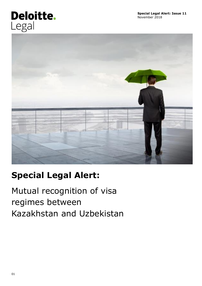# Deloitte. Legal



## **Special Legal Alert:**

Mutual recognition of visa regimes between Kazakhstan and Uzbekistan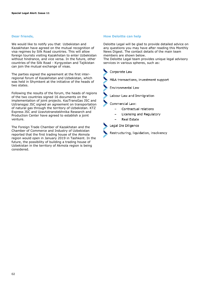#### **Dear friends,**

We would like to notify you that Uzbekistan and Kazakhstan have agreed on the mutual recognition of visa regimes by Silk Road countries. This will allow foreign tourists visiting Kazakhstan to enter Uzbekistan without hindrance, and vice versa. In the future, other countries of the Silk Road - Kyrgyzstan and Tajikistan can join the mutual exchange of visas.

The parties signed the agreement at the first interregional forum of Kazakhstan and Uzbekistan, which was held in Shymkent at the initiative of the heads of two states.

Following the results of the forum, the heads of regions of the two countries signed 16 documents on the implementation of joint projects. KazTransGas JSC and Uztransgaz JSC signed an agreement on transportation of natural gas through the territory of Uzbekistan. KTZ Express JSC and Uzavtotranstekhnika Research and Production Center have agreed to establish a joint venture.

The Foreign Trade Chamber of Kazakhstan and the Chamber of Commerce and Industry of Uzbekistan reported that the first trading house of the Akmola region would open in January 2019 in Tashkent. In the future, the possibility of building a trading house of Uzbekistan in the territory of Akmola region is being considered.

#### **How Deloitte can help**

Deloitte Legal will be glad to provide detailed advice on any questions you may have after reading this Monthly News Digest. The contact details of the main team members are shown below.

The Deloitte Legal team provides unique legal advisory services in various spheres, such as:



M&A transactions, investment support



**Environmental Law** 

Labour Law and Immigration

Commercial Law:

- Contractual relations
- Licensing and Regulatory
- Real Estate

Legal Die Diligence

Restructuring, liquidation, insolvency